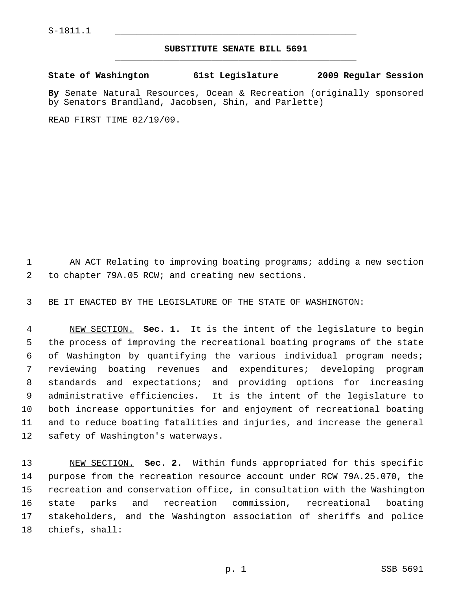## **SUBSTITUTE SENATE BILL 5691** \_\_\_\_\_\_\_\_\_\_\_\_\_\_\_\_\_\_\_\_\_\_\_\_\_\_\_\_\_\_\_\_\_\_\_\_\_\_\_\_\_\_\_\_\_

**State of Washington 61st Legislature 2009 Regular Session**

**By** Senate Natural Resources, Ocean & Recreation (originally sponsored by Senators Brandland, Jacobsen, Shin, and Parlette)

READ FIRST TIME 02/19/09.

 1 AN ACT Relating to improving boating programs; adding a new section 2 to chapter 79A.05 RCW; and creating new sections.

3 BE IT ENACTED BY THE LEGISLATURE OF THE STATE OF WASHINGTON:

 4 NEW SECTION. **Sec. 1.** It is the intent of the legislature to begin 5 the process of improving the recreational boating programs of the state 6 of Washington by quantifying the various individual program needs; 7 reviewing boating revenues and expenditures; developing program 8 standards and expectations; and providing options for increasing 9 administrative efficiencies. It is the intent of the legislature to 10 both increase opportunities for and enjoyment of recreational boating 11 and to reduce boating fatalities and injuries, and increase the general 12 safety of Washington's waterways.

13 NEW SECTION. **Sec. 2.** Within funds appropriated for this specific 14 purpose from the recreation resource account under RCW 79A.25.070, the 15 recreation and conservation office, in consultation with the Washington 16 state parks and recreation commission, recreational boating 17 stakeholders, and the Washington association of sheriffs and police 18 chiefs, shall: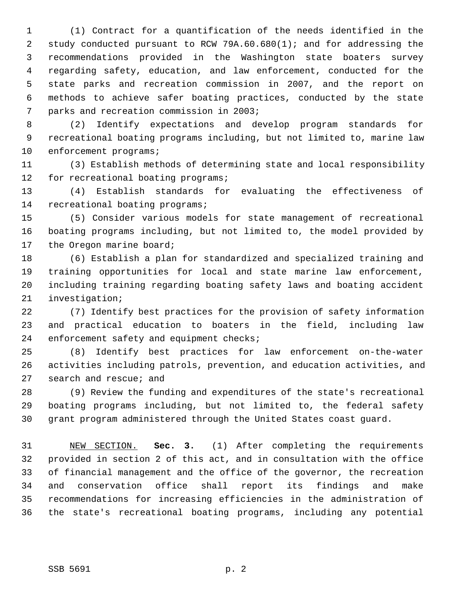1 (1) Contract for a quantification of the needs identified in the 2 study conducted pursuant to RCW 79A.60.680(1); and for addressing the 3 recommendations provided in the Washington state boaters survey 4 regarding safety, education, and law enforcement, conducted for the 5 state parks and recreation commission in 2007, and the report on 6 methods to achieve safer boating practices, conducted by the state 7 parks and recreation commission in 2003;

 8 (2) Identify expectations and develop program standards for 9 recreational boating programs including, but not limited to, marine law 10 enforcement programs;

11 (3) Establish methods of determining state and local responsibility 12 for recreational boating programs;

13 (4) Establish standards for evaluating the effectiveness of 14 recreational boating programs;

15 (5) Consider various models for state management of recreational 16 boating programs including, but not limited to, the model provided by 17 the Oregon marine board;

18 (6) Establish a plan for standardized and specialized training and 19 training opportunities for local and state marine law enforcement, 20 including training regarding boating safety laws and boating accident 21 investigation;

22 (7) Identify best practices for the provision of safety information 23 and practical education to boaters in the field, including law 24 enforcement safety and equipment checks;

25 (8) Identify best practices for law enforcement on-the-water 26 activities including patrols, prevention, and education activities, and 27 search and rescue; and

28 (9) Review the funding and expenditures of the state's recreational 29 boating programs including, but not limited to, the federal safety 30 grant program administered through the United States coast guard.

31 NEW SECTION. **Sec. 3.** (1) After completing the requirements 32 provided in section 2 of this act, and in consultation with the office 33 of financial management and the office of the governor, the recreation 34 and conservation office shall report its findings and make 35 recommendations for increasing efficiencies in the administration of 36 the state's recreational boating programs, including any potential